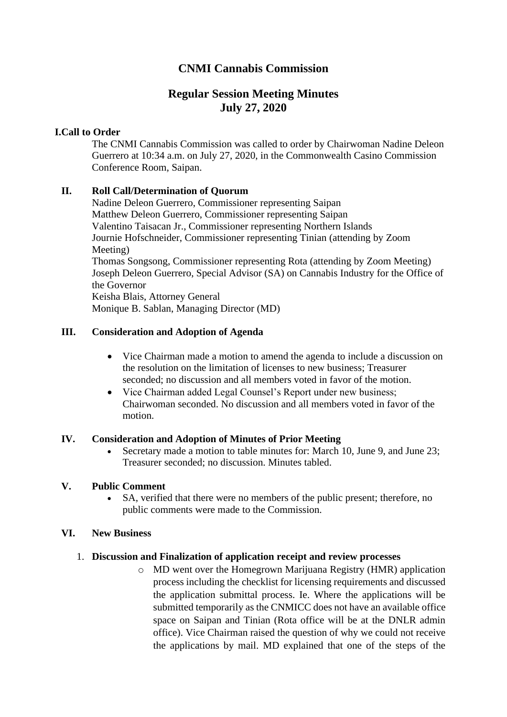# **CNMI Cannabis Commission**

# **Regular Session Meeting Minutes July 27, 2020**

## **I.Call to Order**

The CNMI Cannabis Commission was called to order by Chairwoman Nadine Deleon Guerrero at 10:34 a.m. on July 27, 2020, in the Commonwealth Casino Commission Conference Room, Saipan.

## **II. Roll Call/Determination of Quorum**

Nadine Deleon Guerrero, Commissioner representing Saipan Matthew Deleon Guerrero, Commissioner representing Saipan Valentino Taisacan Jr., Commissioner representing Northern Islands Journie Hofschneider, Commissioner representing Tinian (attending by Zoom Meeting) Thomas Songsong, Commissioner representing Rota (attending by Zoom Meeting) Joseph Deleon Guerrero, Special Advisor (SA) on Cannabis Industry for the Office of the Governor Keisha Blais, Attorney General Monique B. Sablan, Managing Director (MD)

## **III. Consideration and Adoption of Agenda**

- Vice Chairman made a motion to amend the agenda to include a discussion on the resolution on the limitation of licenses to new business; Treasurer seconded; no discussion and all members voted in favor of the motion.
- Vice Chairman added Legal Counsel's Report under new business; Chairwoman seconded. No discussion and all members voted in favor of the motion.

#### **IV. Consideration and Adoption of Minutes of Prior Meeting**

• Secretary made a motion to table minutes for: March 10, June 9, and June 23; Treasurer seconded; no discussion. Minutes tabled.

#### **V. Public Comment**

• SA, verified that there were no members of the public present; therefore, no public comments were made to the Commission.

#### **VI. New Business**

#### 1. **Discussion and Finalization of application receipt and review processes**

o MD went over the Homegrown Marijuana Registry (HMR) application process including the checklist for licensing requirements and discussed the application submittal process. Ie. Where the applications will be submitted temporarily as the CNMICC does not have an available office space on Saipan and Tinian (Rota office will be at the DNLR admin office). Vice Chairman raised the question of why we could not receive the applications by mail. MD explained that one of the steps of the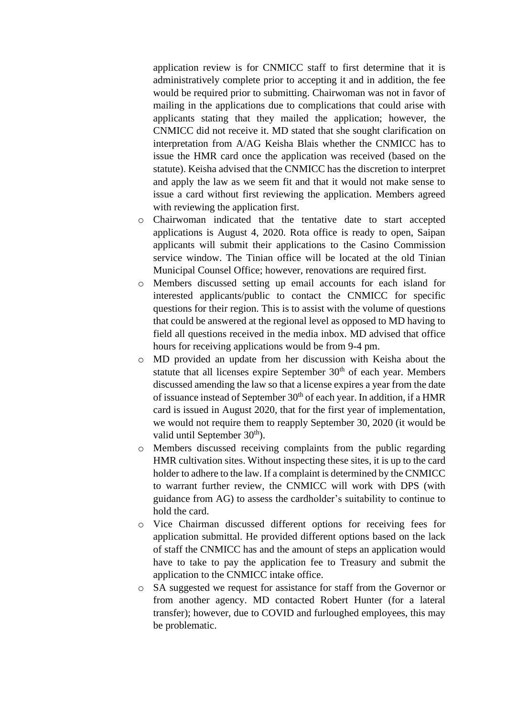application review is for CNMICC staff to first determine that it is administratively complete prior to accepting it and in addition, the fee would be required prior to submitting. Chairwoman was not in favor of mailing in the applications due to complications that could arise with applicants stating that they mailed the application; however, the CNMICC did not receive it. MD stated that she sought clarification on interpretation from A/AG Keisha Blais whether the CNMICC has to issue the HMR card once the application was received (based on the statute). Keisha advised that the CNMICC has the discretion to interpret and apply the law as we seem fit and that it would not make sense to issue a card without first reviewing the application. Members agreed with reviewing the application first.

- o Chairwoman indicated that the tentative date to start accepted applications is August 4, 2020. Rota office is ready to open, Saipan applicants will submit their applications to the Casino Commission service window. The Tinian office will be located at the old Tinian Municipal Counsel Office; however, renovations are required first.
- o Members discussed setting up email accounts for each island for interested applicants/public to contact the CNMICC for specific questions for their region. This is to assist with the volume of questions that could be answered at the regional level as opposed to MD having to field all questions received in the media inbox. MD advised that office hours for receiving applications would be from 9-4 pm.
- o MD provided an update from her discussion with Keisha about the statute that all licenses expire September  $30<sup>th</sup>$  of each year. Members discussed amending the law so that a license expires a year from the date of issuance instead of September  $30<sup>th</sup>$  of each year. In addition, if a HMR card is issued in August 2020, that for the first year of implementation, we would not require them to reapply September 30, 2020 (it would be valid until September 30<sup>th</sup>).
- o Members discussed receiving complaints from the public regarding HMR cultivation sites. Without inspecting these sites, it is up to the card holder to adhere to the law. If a complaint is determined by the CNMICC to warrant further review, the CNMICC will work with DPS (with guidance from AG) to assess the cardholder's suitability to continue to hold the card.
- o Vice Chairman discussed different options for receiving fees for application submittal. He provided different options based on the lack of staff the CNMICC has and the amount of steps an application would have to take to pay the application fee to Treasury and submit the application to the CNMICC intake office.
- o SA suggested we request for assistance for staff from the Governor or from another agency. MD contacted Robert Hunter (for a lateral transfer); however, due to COVID and furloughed employees, this may be problematic.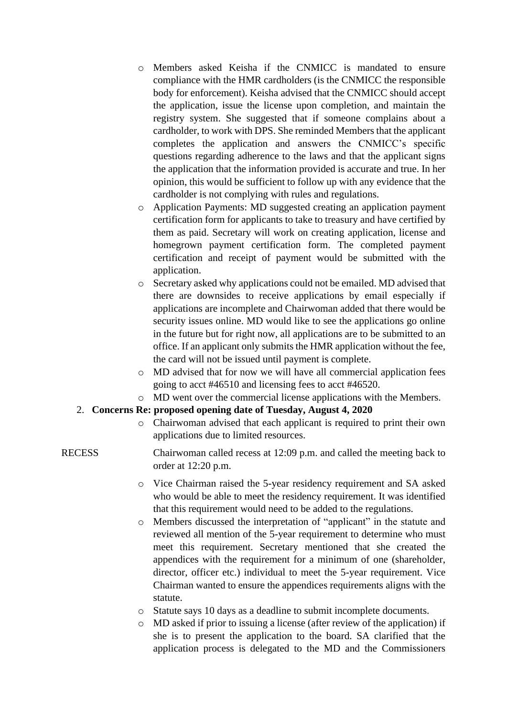- o Members asked Keisha if the CNMICC is mandated to ensure compliance with the HMR cardholders (is the CNMICC the responsible body for enforcement). Keisha advised that the CNMICC should accept the application, issue the license upon completion, and maintain the registry system. She suggested that if someone complains about a cardholder, to work with DPS. She reminded Members that the applicant completes the application and answers the CNMICC's specific questions regarding adherence to the laws and that the applicant signs the application that the information provided is accurate and true. In her opinion, this would be sufficient to follow up with any evidence that the cardholder is not complying with rules and regulations.
- o Application Payments: MD suggested creating an application payment certification form for applicants to take to treasury and have certified by them as paid. Secretary will work on creating application, license and homegrown payment certification form. The completed payment certification and receipt of payment would be submitted with the application.
- o Secretary asked why applications could not be emailed. MD advised that there are downsides to receive applications by email especially if applications are incomplete and Chairwoman added that there would be security issues online. MD would like to see the applications go online in the future but for right now, all applications are to be submitted to an office. If an applicant only submits the HMR application without the fee, the card will not be issued until payment is complete.
- o MD advised that for now we will have all commercial application fees going to acct #46510 and licensing fees to acct #46520.
- o MD went over the commercial license applications with the Members.

#### 2. **Concerns Re: proposed opening date of Tuesday, August 4, 2020**

o Chairwoman advised that each applicant is required to print their own applications due to limited resources.

# RECESS Chairwoman called recess at 12:09 p.m. and called the meeting back to order at 12:20 p.m.

- o Vice Chairman raised the 5-year residency requirement and SA asked who would be able to meet the residency requirement. It was identified that this requirement would need to be added to the regulations.
- o Members discussed the interpretation of "applicant" in the statute and reviewed all mention of the 5-year requirement to determine who must meet this requirement. Secretary mentioned that she created the appendices with the requirement for a minimum of one (shareholder, director, officer etc.) individual to meet the 5-year requirement. Vice Chairman wanted to ensure the appendices requirements aligns with the statute.
- o Statute says 10 days as a deadline to submit incomplete documents.
- o MD asked if prior to issuing a license (after review of the application) if she is to present the application to the board. SA clarified that the application process is delegated to the MD and the Commissioners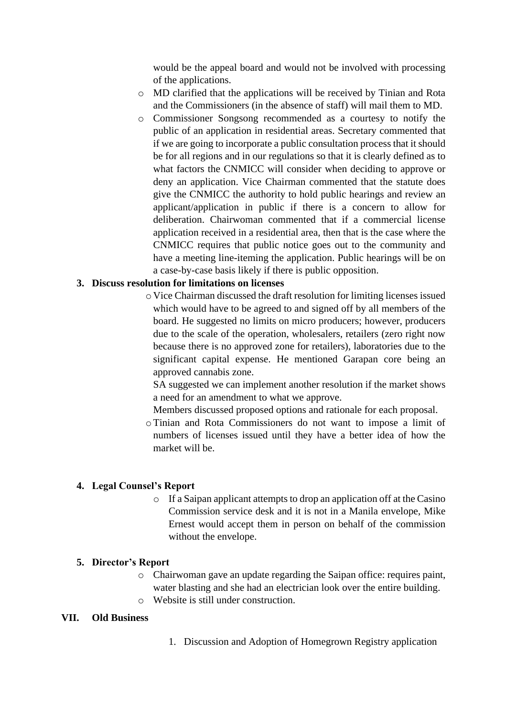would be the appeal board and would not be involved with processing of the applications.

- o MD clarified that the applications will be received by Tinian and Rota and the Commissioners (in the absence of staff) will mail them to MD.
- o Commissioner Songsong recommended as a courtesy to notify the public of an application in residential areas. Secretary commented that if we are going to incorporate a public consultation process that it should be for all regions and in our regulations so that it is clearly defined as to what factors the CNMICC will consider when deciding to approve or deny an application. Vice Chairman commented that the statute does give the CNMICC the authority to hold public hearings and review an applicant/application in public if there is a concern to allow for deliberation. Chairwoman commented that if a commercial license application received in a residential area, then that is the case where the CNMICC requires that public notice goes out to the community and have a meeting line-iteming the application. Public hearings will be on a case-by-case basis likely if there is public opposition.

#### **3. Discuss resolution for limitations on licenses**

o Vice Chairman discussed the draft resolution for limiting licenses issued which would have to be agreed to and signed off by all members of the board. He suggested no limits on micro producers; however, producers due to the scale of the operation, wholesalers, retailers (zero right now because there is no approved zone for retailers), laboratories due to the significant capital expense. He mentioned Garapan core being an approved cannabis zone.

SA suggested we can implement another resolution if the market shows a need for an amendment to what we approve.

Members discussed proposed options and rationale for each proposal.

oTinian and Rota Commissioners do not want to impose a limit of numbers of licenses issued until they have a better idea of how the market will be.

#### **4. Legal Counsel's Report**

o If a Saipan applicant attempts to drop an application off at the Casino Commission service desk and it is not in a Manila envelope, Mike Ernest would accept them in person on behalf of the commission without the envelope.

#### **5. Director's Report**

- o Chairwoman gave an update regarding the Saipan office: requires paint, water blasting and she had an electrician look over the entire building.
- o Website is still under construction.

#### **VII. Old Business**

1. Discussion and Adoption of Homegrown Registry application